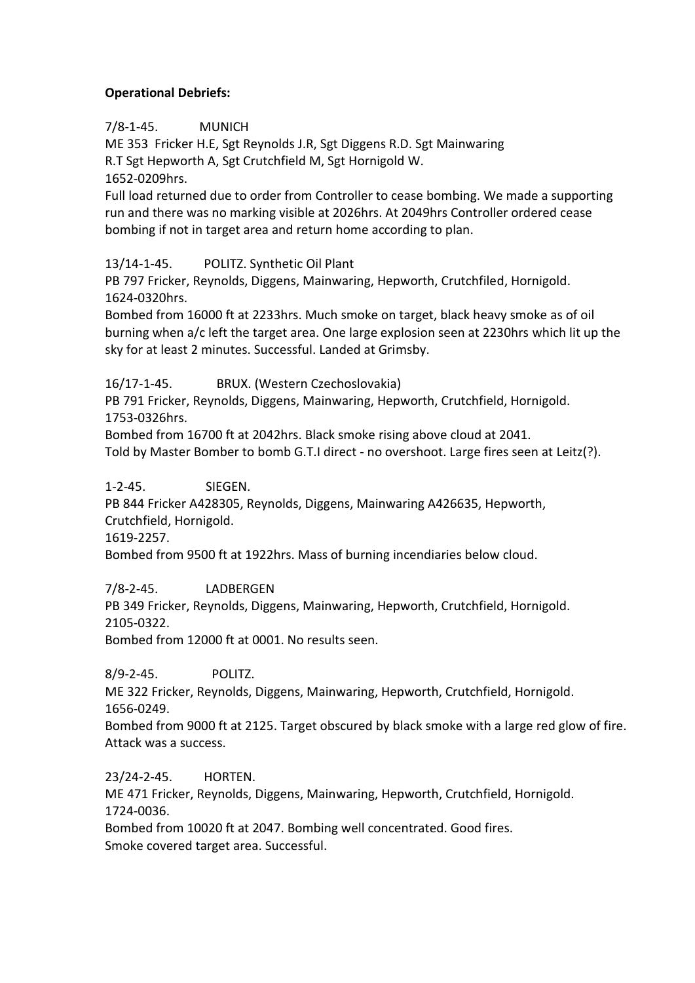## **Operational Debriefs:**

7/8-1-45. MUNICH

ME 353 Fricker H.E, Sgt Reynolds J.R, Sgt Diggens R.D. Sgt Mainwaring R.T Sgt Hepworth A, Sgt Crutchfield M, Sgt Hornigold W.

1652-0209hrs.

Full load returned due to order from Controller to cease bombing. We made a supporting run and there was no marking visible at 2026hrs. At 2049hrs Controller ordered cease bombing if not in target area and return home according to plan.

13/14-1-45. POLITZ. Synthetic Oil Plant

PB 797 Fricker, Reynolds, Diggens, Mainwaring, Hepworth, Crutchfiled, Hornigold. 1624-0320hrs.

Bombed from 16000 ft at 2233hrs. Much smoke on target, black heavy smoke as of oil burning when a/c left the target area. One large explosion seen at 2230hrs which lit up the sky for at least 2 minutes. Successful. Landed at Grimsby.

16/17-1-45. BRUX. (Western Czechoslovakia)

PB 791 Fricker, Reynolds, Diggens, Mainwaring, Hepworth, Crutchfield, Hornigold. 1753-0326hrs.

Bombed from 16700 ft at 2042hrs. Black smoke rising above cloud at 2041.

Told by Master Bomber to bomb G.T.I direct - no overshoot. Large fires seen at Leitz(?).

1-2-45. SIEGEN.

PB 844 Fricker A428305, Reynolds, Diggens, Mainwaring A426635, Hepworth, Crutchfield, Hornigold.

1619-2257.

Bombed from 9500 ft at 1922hrs. Mass of burning incendiaries below cloud.

7/8-2-45. LADBERGEN

PB 349 Fricker, Reynolds, Diggens, Mainwaring, Hepworth, Crutchfield, Hornigold. 2105-0322.

Bombed from 12000 ft at 0001. No results seen.

8/9-2-45. POLITZ.

ME 322 Fricker, Reynolds, Diggens, Mainwaring, Hepworth, Crutchfield, Hornigold. 1656-0249.

Bombed from 9000 ft at 2125. Target obscured by black smoke with a large red glow of fire. Attack was a success.

23/24-2-45. HORTEN. ME 471 Fricker, Reynolds, Diggens, Mainwaring, Hepworth, Crutchfield, Hornigold. 1724-0036.

Bombed from 10020 ft at 2047. Bombing well concentrated. Good fires. Smoke covered target area. Successful.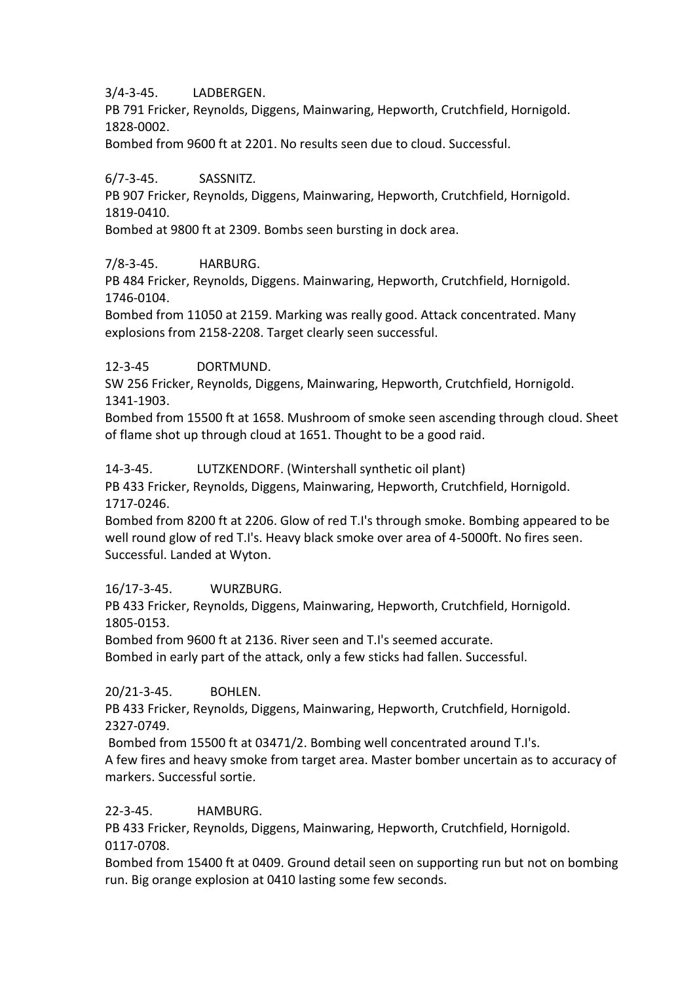3/4-3-45. LADBERGEN.

PB 791 Fricker, Reynolds, Diggens, Mainwaring, Hepworth, Crutchfield, Hornigold. 1828-0002.

Bombed from 9600 ft at 2201. No results seen due to cloud. Successful.

6/7-3-45. SASSNITZ.

PB 907 Fricker, Reynolds, Diggens, Mainwaring, Hepworth, Crutchfield, Hornigold. 1819-0410.

Bombed at 9800 ft at 2309. Bombs seen bursting in dock area.

7/8-3-45. HARBURG.

PB 484 Fricker, Reynolds, Diggens. Mainwaring, Hepworth, Crutchfield, Hornigold. 1746-0104.

Bombed from 11050 at 2159. Marking was really good. Attack concentrated. Many explosions from 2158-2208. Target clearly seen successful.

12-3-45 DORTMUND.

SW 256 Fricker, Reynolds, Diggens, Mainwaring, Hepworth, Crutchfield, Hornigold. 1341-1903.

Bombed from 15500 ft at 1658. Mushroom of smoke seen ascending through cloud. Sheet of flame shot up through cloud at 1651. Thought to be a good raid.

14-3-45. LUTZKENDORF. (Wintershall synthetic oil plant)

PB 433 Fricker, Reynolds, Diggens, Mainwaring, Hepworth, Crutchfield, Hornigold. 1717-0246.

Bombed from 8200 ft at 2206. Glow of red T.I's through smoke. Bombing appeared to be well round glow of red T.I's. Heavy black smoke over area of 4-5000ft. No fires seen. Successful. Landed at Wyton.

16/17-3-45. WURZBURG.

PB 433 Fricker, Reynolds, Diggens, Mainwaring, Hepworth, Crutchfield, Hornigold. 1805-0153.

Bombed from 9600 ft at 2136. River seen and T.I's seemed accurate.

Bombed in early part of the attack, only a few sticks had fallen. Successful.

20/21-3-45. BOHLEN.

PB 433 Fricker, Reynolds, Diggens, Mainwaring, Hepworth, Crutchfield, Hornigold. 2327-0749.

Bombed from 15500 ft at 03471/2. Bombing well concentrated around T.I's.

A few fires and heavy smoke from target area. Master bomber uncertain as to accuracy of markers. Successful sortie.

22-3-45. HAMBURG.

PB 433 Fricker, Reynolds, Diggens, Mainwaring, Hepworth, Crutchfield, Hornigold. 0117-0708.

Bombed from 15400 ft at 0409. Ground detail seen on supporting run but not on bombing run. Big orange explosion at 0410 lasting some few seconds.